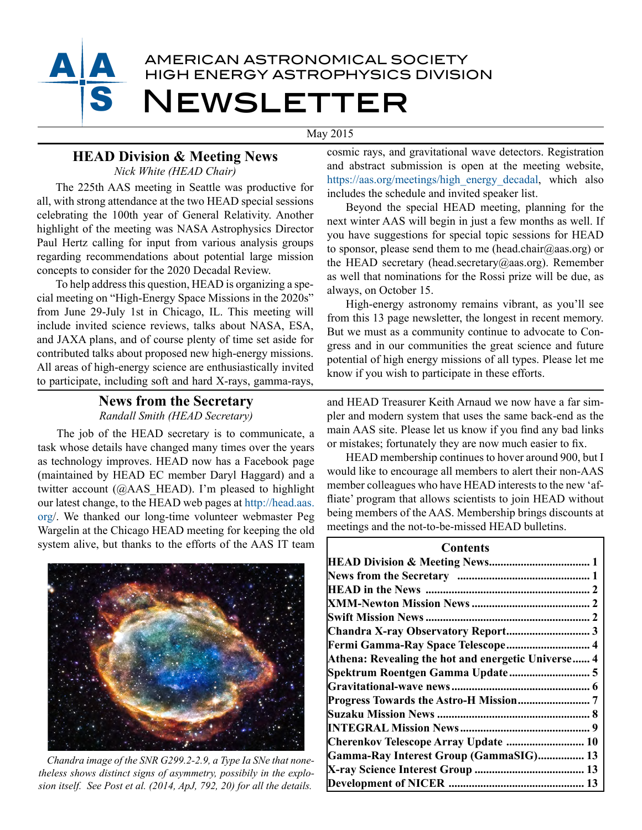

May 2015

# **HEAD Division & Meeting News**

*Nick White (HEAD Chair)*

The 225th AAS meeting in Seattle was productive for all, with strong attendance at the two HEAD special sessions celebrating the 100th year of General Relativity. Another highlight of the meeting was NASA Astrophysics Director Paul Hertz calling for input from various analysis groups regarding recommendations about potential large mission concepts to consider for the 2020 Decadal Review.

To help address this question, HEAD is organizing a special meeting on "High-Energy Space Missions in the 2020s" from June 29-July 1st in Chicago, IL. This meeting will include invited science reviews, talks about NASA, ESA, and JAXA plans, and of course plenty of time set aside for contributed talks about proposed new high-energy missions. All areas of high-energy science are enthusiastically invited to participate, including soft and hard X-rays, gamma-rays,

# **News from the Secretary**  *Randall Smith (HEAD Secretary)*

The job of the HEAD secretary is to communicate, a task whose details have changed many times over the years as technology improves. HEAD now has a Facebook page (maintained by HEAD EC member Daryl Haggard) and a twitter account (@AAS\_HEAD). I'm pleased to highlight our latest change, to the HEAD web pages at [http://head.aas.](http://head.aas.org) [org](http://head.aas.org)/. We thanked our long-time volunteer webmaster Peg Wargelin at the Chicago HEAD meeting for keeping the old system alive, but thanks to the efforts of the AAS IT team



*Chandra image of the SNR G299.2-2.9, a Type Ia SNe that nonetheless shows distinct signs of asymmetry, possibily in the explosion itself. See Post et al. (2014, ApJ, 792, 20) for all the details.*

cosmic rays, and gravitational wave detectors. Registration and abstract submission is open at the meeting website, [https://aas.org/meetings/high\\_energy\\_decadal,](https://aas.org/meetings/high_energy_decadal) which also includes the schedule and invited speaker list.

Beyond the special HEAD meeting, planning for the next winter AAS will begin in just a few months as well. If you have suggestions for special topic sessions for HEAD to sponsor, please send them to me (head.chair@aas.org) or the HEAD secretary (head.secretary@aas.org). Remember as well that nominations for the Rossi prize will be due, as always, on October 15.

High-energy astronomy remains vibrant, as you'll see from this 13 page newsletter, the longest in recent memory. But we must as a community continue to advocate to Congress and in our communities the great science and future potential of high energy missions of all types. Please let me know if you wish to participate in these efforts.

and HEAD Treasurer Keith Arnaud we now have a far simpler and modern system that uses the same back-end as the main AAS site. Please let us know if you find any bad links or mistakes; fortunately they are now much easier to fix.

HEAD membership continues to hover around 900, but I would like to encourage all members to alert their non-AAS member colleagues who have HEAD interests to the new 'affliate' program that allows scientists to join HEAD without being members of the AAS. Membership brings discounts at meetings and the not-to-be-missed HEAD bulletins.

| Contents                                           |
|----------------------------------------------------|
|                                                    |
|                                                    |
|                                                    |
|                                                    |
|                                                    |
|                                                    |
| Fermi Gamma-Ray Space Telescope 4                  |
| Athena: Revealing the hot and energetic Universe 4 |
|                                                    |
|                                                    |
|                                                    |
|                                                    |
|                                                    |
| Cherenkov Telescope Array Update  10               |
| Gamma-Ray Interest Group (GammaSIG) 13             |
|                                                    |
|                                                    |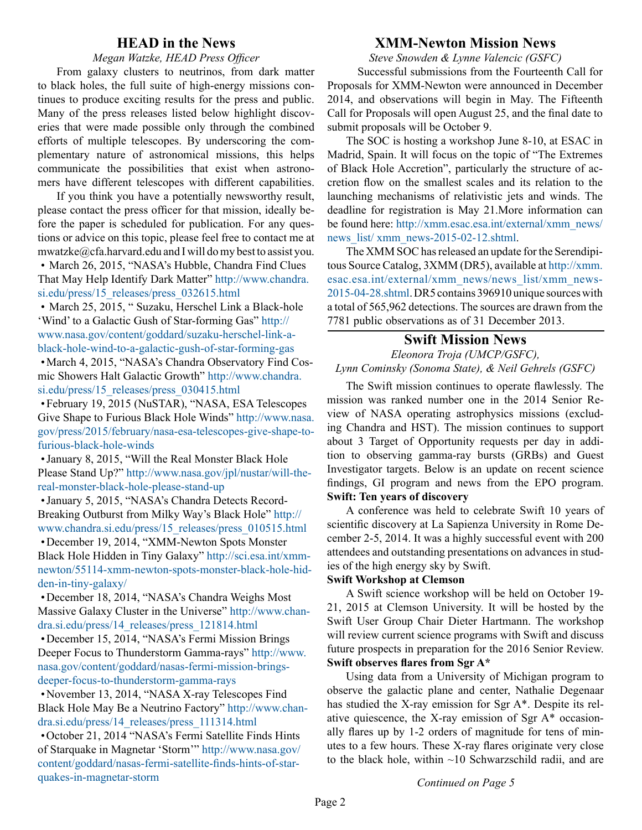## **HEAD in the News**

*Megan Watzke, HEAD Press Officer*

<span id="page-1-0"></span>From galaxy clusters to neutrinos, from dark matter to black holes, the full suite of high-energy missions continues to produce exciting results for the press and public. Many of the press releases listed below highlight discoveries that were made possible only through the combined efforts of multiple telescopes. By underscoring the complementary nature of astronomical missions, this helps communicate the possibilities that exist when astronomers have different telescopes with different capabilities.

If you think you have a potentially newsworthy result, please contact the press officer for that mission, ideally before the paper is scheduled for publication. For any questions or advice on this topic, please feel free to contact me at mwatzke@cfa.harvard.edu and I will do my best to assist you. • March 26, 2015, "NASA's Hubble, Chandra Find Clues

That May Help Identify Dark Matter" [http://www.chandra.](http://www.chandra.si.edu/press/15_releases/press_032615.html) [si.edu/press/15\\_releases/press\\_032615.html](http://www.chandra.si.edu/press/15_releases/press_032615.html)

• March 25, 2015, "Suzaku, Herschel Link a Black-hole 'Wind' to a Galactic Gush of Star-forming Gas" [http://](http://www.nasa.gov/content/goddard/suzaku-herschel-link-a-black-hole-wind-to-a-galactic-gush-of-star-forming-gas) [www.nasa.gov/content/goddard/suzaku-herschel-link-a](http://www.nasa.gov/content/goddard/suzaku-herschel-link-a-black-hole-wind-to-a-galactic-gush-of-star-forming-gas)[black-hole-wind-to-a-galactic-gush-of-star-forming-gas](http://www.nasa.gov/content/goddard/suzaku-herschel-link-a-black-hole-wind-to-a-galactic-gush-of-star-forming-gas)

•March 4, 2015, "NASA's Chandra Observatory Find Cosmic Showers Halt Galactic Growth" [http://www.chandra.](http://www.chandra.si.edu/press/15_releases/press_030415.html) si.edu/press/15 releases/press 030415.html

•February 19, 2015 (NuSTAR), "NASA, ESA Telescopes Give Shape to Furious Black Hole Winds" [http://www.nasa.](http://www.nasa.gov/press/2015/february/nasa-esa-telescopes-give-shape-to-furious-black-hole-winds) [gov/press/2015/february/nasa-esa-telescopes-give-shape-to](http://www.nasa.gov/press/2015/february/nasa-esa-telescopes-give-shape-to-furious-black-hole-winds)[furious-black-hole-winds](http://www.nasa.gov/press/2015/february/nasa-esa-telescopes-give-shape-to-furious-black-hole-winds)

•January 8, 2015, "Will the Real Monster Black Hole Please Stand Up?" [http://www.nasa.gov/jpl/nustar/will-the](http://www.nasa.gov/jpl/nustar/will-the-real-monster-black-hole-please-stand-up)[real-monster-black-hole-please-stand-up](http://www.nasa.gov/jpl/nustar/will-the-real-monster-black-hole-please-stand-up)

•January 5, 2015, "NASA's Chandra Detects Record-Breaking Outburst from Milky Way's Black Hole" [http://](http://www.chandra.si.edu/press/15_releases/press_010515.html) [www.chandra.si.edu/press/15\\_releases/press\\_010515.html](http://www.chandra.si.edu/press/15_releases/press_010515.html)

•December 19, 2014, "XMM-Newton Spots Monster Black Hole Hidden in Tiny Galaxy" [http://sci.esa.int/xmm](http://sci.esa.int/xmm-newton/55114-xmm-newton-spots-monster-black-hole-hidden-in-tiny-galaxy/)[newton/55114-xmm-newton-spots-monster-black-hole-hid](http://sci.esa.int/xmm-newton/55114-xmm-newton-spots-monster-black-hole-hidden-in-tiny-galaxy/)[den-in-tiny-galaxy/](http://sci.esa.int/xmm-newton/55114-xmm-newton-spots-monster-black-hole-hidden-in-tiny-galaxy/)

•December 18, 2014, "NASA's Chandra Weighs Most Massive Galaxy Cluster in the Universe" [http://www.chan](http://www.chandra.si.edu/press/14_releases/press_121814.html)[dra.si.edu/press/14\\_releases/press\\_121814.html](http://www.chandra.si.edu/press/14_releases/press_121814.html)

•December 15, 2014, "NASA's Fermi Mission Brings Deeper Focus to Thunderstorm Gamma-rays" [http://www.](http://www.nasa.gov/content/goddard/nasas-fermi-mission-brings-deeper-focus-to-thunderstorm-gamma-rays) [nasa.gov/content/goddard/nasas-fermi-mission-brings](http://www.nasa.gov/content/goddard/nasas-fermi-mission-brings-deeper-focus-to-thunderstorm-gamma-rays)[deeper-focus-to-thunderstorm-gamma-rays](http://www.nasa.gov/content/goddard/nasas-fermi-mission-brings-deeper-focus-to-thunderstorm-gamma-rays)

•November 13, 2014, "NASA X-ray Telescopes Find Black Hole May Be a Neutrino Factory" [http://www.chan](http://www.chandra.si.edu/press/14_releases/press_111314.html)[dra.si.edu/press/14\\_releases/press\\_111314.html](http://www.chandra.si.edu/press/14_releases/press_111314.html)

•October 21, 2014 "NASA's Fermi Satellite Finds Hints of Starquake in Magnetar 'Storm'" [http://www.nasa.gov/](http://www.nasa.gov/content/goddard/nasas-fermi-satellite-finds-hints-of-starquakes-in-magnetar-storm) [content/goddard/nasas-fermi-satellite-finds-hints-of-star](http://www.nasa.gov/content/goddard/nasas-fermi-satellite-finds-hints-of-starquakes-in-magnetar-storm)[quakes-in-magnetar-storm](http://www.nasa.gov/content/goddard/nasas-fermi-satellite-finds-hints-of-starquakes-in-magnetar-storm)

# **XMM-Newton Mission News**

*Steve Snowden & Lynne Valencic (GSFC)*

Successful submissions from the Fourteenth Call for Proposals for XMM-Newton were announced in December 2014, and observations will begin in May. The Fifteenth Call for Proposals will open August 25, and the final date to submit proposals will be October 9.

The SOC is hosting a workshop June 8-10, at ESAC in Madrid, Spain. It will focus on the topic of "The Extremes of Black Hole Accretion", particularly the structure of accretion flow on the smallest scales and its relation to the launching mechanisms of relativistic jets and winds. The deadline for registration is May 21.More information can be found here: [http://xmm.esac.esa.int/external/xmm\\_news/](http://xmm.esac.esa.int/external/xmm_news/news_list/xmm_news-2015-02-12.shtml) news list/xmm\_news-2015-02-12.shtml.

The XMM SOC has released an update for the Serendipitous Source Catalog, 3XMM (DR5), available at [http://xmm.](http://xmm.esac.esa.int/external/xmm_news/news_list/xmm_news-2015-04-28.shtml) [esac.esa.int/external/xmm\\_news/news\\_list/xmm\\_news-](http://xmm.esac.esa.int/external/xmm_news/news_list/xmm_news-2015-04-28.shtml)[2015-04-28.shtml.](http://xmm.esac.esa.int/external/xmm_news/news_list/xmm_news-2015-04-28.shtml) DR5 contains 396910 unique sources with a total of 565,962 detections. The sources are drawn from the 7781 public observations as of 31 December 2013.

## **Swift Mission News**

*Eleonora Troja (UMCP/GSFC), Lynn Cominsky (Sonoma State), & Neil Gehrels (GSFC)* 

The Swift mission continues to operate flawlessly. The mission was ranked number one in the 2014 Senior Review of NASA operating astrophysics missions (excluding Chandra and HST). The mission continues to support about 3 Target of Opportunity requests per day in addition to observing gamma-ray bursts (GRBs) and Guest Investigator targets. Below is an update on recent science findings, GI program and news from the EPO program. **Swift: Ten years of discovery**

A conference was held to celebrate Swift 10 years of scientific discovery at La Sapienza University in Rome December 2-5, 2014. It was a highly successful event with 200 attendees and outstanding presentations on advances in studies of the high energy sky by Swift.

#### **Swift Workshop at Clemson**

A Swift science workshop will be held on October 19- 21, 2015 at Clemson University. It will be hosted by the Swift User Group Chair Dieter Hartmann. The workshop will review current science programs with Swift and discuss future prospects in preparation for the 2016 Senior Review. **Swift observes flares from Sgr A\***

Using data from a University of Michigan program to observe the galactic plane and center, Nathalie Degenaar has studied the X-ray emission for Sgr A\*. Despite its relative quiescence, the X-ray emission of Sgr A\* occasionally flares up by 1-2 orders of magnitude for tens of minutes to a few hours. These X-ray flares originate very close to the black hole, within ~10 Schwarzschild radii, and are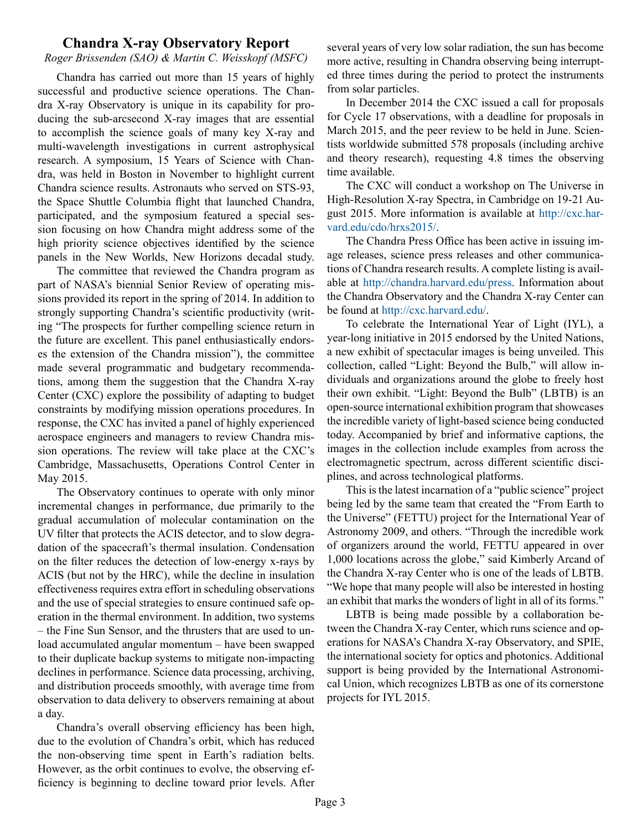## **Chandra X-ray Observatory Report**

#### <span id="page-2-0"></span>*Roger Brissenden (SAO) & Martin C. Weisskopf (MSFC)*

Chandra has carried out more than 15 years of highly successful and productive science operations. The Chandra X-ray Observatory is unique in its capability for producing the sub-arcsecond X-ray images that are essential to accomplish the science goals of many key X-ray and multi-wavelength investigations in current astrophysical research. A symposium, 15 Years of Science with Chandra, was held in Boston in November to highlight current Chandra science results. Astronauts who served on STS-93, the Space Shuttle Columbia flight that launched Chandra, participated, and the symposium featured a special session focusing on how Chandra might address some of the high priority science objectives identified by the science panels in the New Worlds, New Horizons decadal study.

The committee that reviewed the Chandra program as part of NASA's biennial Senior Review of operating missions provided its report in the spring of 2014. In addition to strongly supporting Chandra's scientific productivity (writing "The prospects for further compelling science return in the future are excellent. This panel enthusiastically endorses the extension of the Chandra mission"), the committee made several programmatic and budgetary recommendations, among them the suggestion that the Chandra X-ray Center (CXC) explore the possibility of adapting to budget constraints by modifying mission operations procedures. In response, the CXC has invited a panel of highly experienced aerospace engineers and managers to review Chandra mission operations. The review will take place at the CXC's Cambridge, Massachusetts, Operations Control Center in May 2015.

The Observatory continues to operate with only minor incremental changes in performance, due primarily to the gradual accumulation of molecular contamination on the UV filter that protects the ACIS detector, and to slow degradation of the spacecraft's thermal insulation. Condensation on the filter reduces the detection of low-energy x-rays by ACIS (but not by the HRC), while the decline in insulation effectiveness requires extra effort in scheduling observations and the use of special strategies to ensure continued safe operation in the thermal environment. In addition, two systems – the Fine Sun Sensor, and the thrusters that are used to unload accumulated angular momentum – have been swapped to their duplicate backup systems to mitigate non-impacting declines in performance. Science data processing, archiving, and distribution proceeds smoothly, with average time from observation to data delivery to observers remaining at about a day.

Chandra's overall observing efficiency has been high, due to the evolution of Chandra's orbit, which has reduced the non-observing time spent in Earth's radiation belts. However, as the orbit continues to evolve, the observing efficiency is beginning to decline toward prior levels. After several years of very low solar radiation, the sun has become more active, resulting in Chandra observing being interrupted three times during the period to protect the instruments from solar particles.

In December 2014 the CXC issued a call for proposals for Cycle 17 observations, with a deadline for proposals in March 2015, and the peer review to be held in June. Scientists worldwide submitted 578 proposals (including archive and theory research), requesting 4.8 times the observing time available.

The CXC will conduct a workshop on The Universe in High-Resolution X-ray Spectra, in Cambridge on 19-21 August 2015. More information is available at [http://cxc.har](http://cxc.harvard.edu/cdo/hrxs2015/)[vard.edu/cdo/hrxs2015/](http://cxc.harvard.edu/cdo/hrxs2015/).

The Chandra Press Office has been active in issuing image releases, science press releases and other communications of Chandra research results. A complete listing is available at <http://chandra.harvard.edu/press>. Information about the Chandra Observatory and the Chandra X-ray Center can be found at [http://cxc.harvard.edu/.](http://cxc.harvard.edu/)

To celebrate the International Year of Light (IYL), a year-long initiative in 2015 endorsed by the United Nations, a new exhibit of spectacular images is being unveiled. This collection, called "Light: Beyond the Bulb," will allow individuals and organizations around the globe to freely host their own exhibit. "Light: Beyond the Bulb" (LBTB) is an open-source international exhibition program that showcases the incredible variety of light-based science being conducted today. Accompanied by brief and informative captions, the images in the collection include examples from across the electromagnetic spectrum, across different scientific disciplines, and across technological platforms.

This is the latest incarnation of a "public science" project being led by the same team that created the "From Earth to the Universe" (FETTU) project for the International Year of Astronomy 2009, and others. "Through the incredible work of organizers around the world, FETTU appeared in over 1,000 locations across the globe," said Kimberly Arcand of the Chandra X-ray Center who is one of the leads of LBTB. "We hope that many people will also be interested in hosting an exhibit that marks the wonders of light in all of its forms."

LBTB is being made possible by a collaboration between the Chandra X-ray Center, which runs science and operations for NASA's Chandra X-ray Observatory, and SPIE, the international society for optics and photonics. Additional support is being provided by the International Astronomical Union, which recognizes LBTB as one of its cornerstone projects for IYL 2015.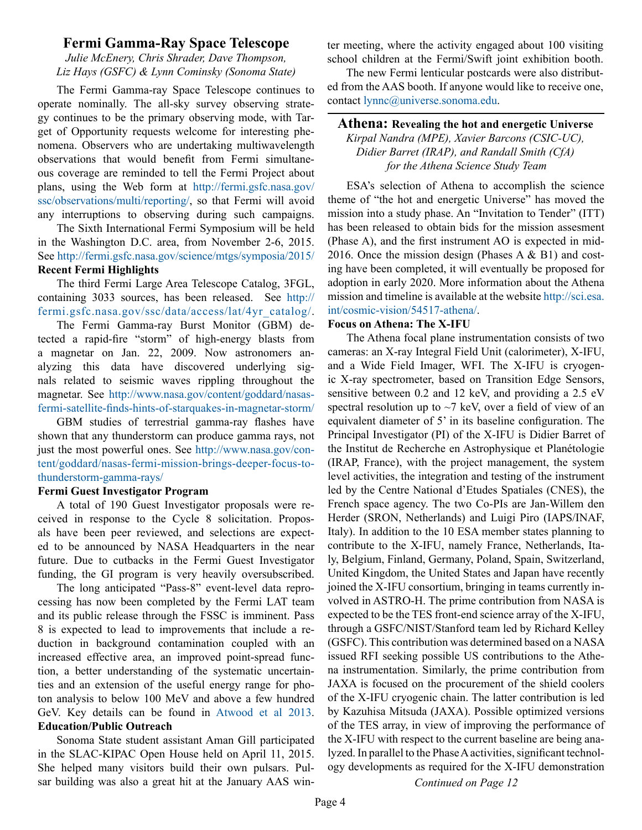## <span id="page-3-0"></span>**Fermi Gamma-Ray Space Telescope**

*Julie McEnery, Chris Shrader, Dave Thompson, Liz Hays (GSFC) & Lynn Cominsky (Sonoma State)* 

The Fermi Gamma-ray Space Telescope continues to operate nominally. The all-sky survey observing strategy continues to be the primary observing mode, with Target of Opportunity requests welcome for interesting phenomena. Observers who are undertaking multiwavelength observations that would benefit from Fermi simultaneous coverage are reminded to tell the Fermi Project about plans, using the Web form at [http://fermi.gsfc.nasa.gov/](http://fermi.gsfc.nasa.gov/ssc/observations/multi/reporting/) [ssc/observations/multi/reporting/,](http://fermi.gsfc.nasa.gov/ssc/observations/multi/reporting/) so that Fermi will avoid any interruptions to observing during such campaigns.

The Sixth International Fermi Symposium will be held in the Washington D.C. area, from November 2-6, 2015. See [http://fermi.gsfc.nasa.gov/science/mtgs/symposia/2015/](http://fermi.gsfc.nasa.gov/science/mtgs/symposia/2015/%20) **Recent Fermi Highlights** 

The third Fermi Large Area Telescope Catalog, 3FGL, containing 3033 sources, has been released. See [http://](http://fermi.gsfc.nasa.gov/ssc/data/access/lat/4yr_catalog/) [fermi.gsfc.nasa.gov/ssc/data/access/lat/4yr\\_catalog/](http://fermi.gsfc.nasa.gov/ssc/data/access/lat/4yr_catalog/).

The Fermi Gamma-ray Burst Monitor (GBM) detected a rapid-fire "storm" of high-energy blasts from a magnetar on Jan. 22, 2009. Now astronomers analyzing this data have discovered underlying signals related to seismic waves rippling throughout the magnetar. See [http://www.nasa.gov/content/goddard/nasas](http://www.nasa.gov/content/goddard/nasas-fermi-satellite-finds-hints-of-starquakes-in-magnetar-storm/%20)[fermi-satellite-finds-hints-of-starquakes-in-magnetar-storm/](http://www.nasa.gov/content/goddard/nasas-fermi-satellite-finds-hints-of-starquakes-in-magnetar-storm/%20)

GBM studies of terrestrial gamma-ray flashes have shown that any thunderstorm can produce gamma rays, not just the most powerful ones. See [http://www.nasa.gov/con](http://www.nasa.gov/content/goddard/nasas-fermi-mission-brings-deeper-focus-to-thunderstorm-gamma-rays/%20)[tent/goddard/nasas-fermi-mission-brings-deeper-focus-to](http://www.nasa.gov/content/goddard/nasas-fermi-mission-brings-deeper-focus-to-thunderstorm-gamma-rays/%20)[thunderstorm-gamma-rays/](http://www.nasa.gov/content/goddard/nasas-fermi-mission-brings-deeper-focus-to-thunderstorm-gamma-rays/%20)

#### **Fermi Guest Investigator Program**

A total of 190 Guest Investigator proposals were received in response to the Cycle 8 solicitation. Proposals have been peer reviewed, and selections are expected to be announced by NASA Headquarters in the near future. Due to cutbacks in the Fermi Guest Investigator funding, the GI program is very heavily oversubscribed.

The long anticipated "Pass-8" event-level data reprocessing has now been completed by the Fermi LAT team and its public release through the FSSC is imminent. Pass 8 is expected to lead to improvements that include a reduction in background contamination coupled with an increased effective area, an improved point-spread function, a better understanding of the systematic uncertainties and an extension of the useful energy range for photon analysis to below 100 MeV and above a few hundred GeV. Key details can be found in [Atwood et al 2013](http://arxiv.org/pdf/1303.3514v1.pdf). **Education/Public Outreach**

Sonoma State student assistant Aman Gill participated in the SLAC-KIPAC Open House held on April 11, 2015. She helped many visitors build their own pulsars. Pulsar building was also a great hit at the January AAS winter meeting, where the activity engaged about 100 visiting school children at the Fermi/Swift joint exhibition booth.

The new Fermi lenticular postcards were also distributed from the AAS booth. If anyone would like to receive one, contact [lynnc@universe.sonoma.edu](mailto:lynnc%40universe.sonoma.edu).

**Athena: Revealing the hot and energetic Universe** *Kirpal Nandra (MPE), Xavier Barcons (CSIC-UC), Didier Barret (IRAP), and Randall Smith (CfA) for the Athena Science Study Team*

ESA's selection of Athena to accomplish the science theme of "the hot and energetic Universe" has moved the mission into a study phase. An "Invitation to Tender" (ITT) has been released to obtain bids for the mission assesment (Phase A), and the first instrument AO is expected in mid-2016. Once the mission design (Phases A & B1) and costing have been completed, it will eventually be proposed for adoption in early 2020. More information about the Athena mission and timeline is available at the website [http://sci.esa.](http://sci.esa.int/cosmic-vision/54517-athena/) [int/cosmic-vision/54517-athena/.](http://sci.esa.int/cosmic-vision/54517-athena/)

#### **Focus on Athena: The X-IFU**

The Athena focal plane instrumentation consists of two cameras: an X-ray Integral Field Unit (calorimeter), X-IFU, and a Wide Field Imager, WFI. The X-IFU is cryogenic X-ray spectrometer, based on Transition Edge Sensors, sensitive between 0.2 and 12 keV, and providing a 2.5 eV spectral resolution up to  $\sim$ 7 keV, over a field of view of an equivalent diameter of 5' in its baseline configuration. The Principal Investigator (PI) of the X-IFU is Didier Barret of the Institut de Recherche en Astrophysique et Planétologie (IRAP, France), with the project management, the system level activities, the integration and testing of the instrument led by the Centre National d'Etudes Spatiales (CNES), the French space agency. The two Co-PIs are Jan-Willem den Herder (SRON, Netherlands) and Luigi Piro (IAPS/INAF, Italy). In addition to the 10 ESA member states planning to contribute to the X-IFU, namely France, Netherlands, Italy, Belgium, Finland, Germany, Poland, Spain, Switzerland, United Kingdom, the United States and Japan have recently joined the X-IFU consortium, bringing in teams currently involved in ASTRO-H. The prime contribution from NASA is expected to be the TES front-end science array of the X-IFU, through a GSFC/NIST/Stanford team led by Richard Kelley (GSFC). This contribution was determined based on a NASA issued RFI seeking possible US contributions to the Athena instrumentation. Similarly, the prime contribution from JAXA is focused on the procurement of the shield coolers of the X-IFU cryogenic chain. The latter contribution is led by Kazuhisa Mitsuda (JAXA). Possible optimized versions of the TES array, in view of improving the performance of the X-IFU with respect to the current baseline are being analyzed. In parallel to the Phase A activities, significant technology developments as required for the X-IFU demonstration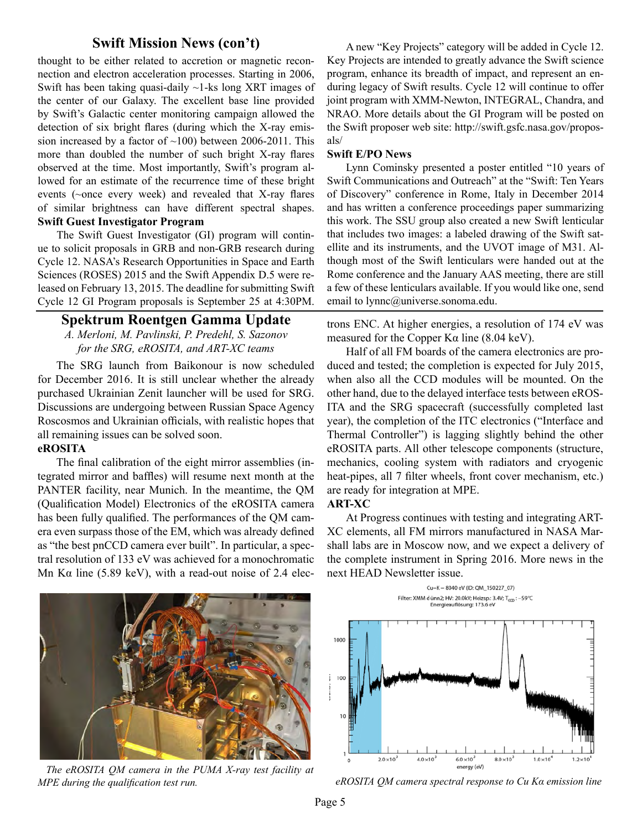# **Swift Mission News (con't)**

<span id="page-4-0"></span>thought to be either related to accretion or magnetic reconnection and electron acceleration processes. Starting in 2006, Swift has been taking quasi-daily  $\sim$ 1-ks long XRT images of the center of our Galaxy. The excellent base line provided by Swift's Galactic center monitoring campaign allowed the detection of six bright flares (during which the X-ray emission increased by a factor of  $~100$ ) between 2006-2011. This more than doubled the number of such bright X-ray flares observed at the time. Most importantly, Swift's program allowed for an estimate of the recurrence time of these bright events (~once every week) and revealed that X-ray flares of similar brightness can have different spectral shapes. **Swift Guest Investigator Program** 

The Swift Guest Investigator (GI) program will continue to solicit proposals in GRB and non-GRB research during Cycle 12. NASA's Research Opportunities in Space and Earth Sciences (ROSES) 2015 and the Swift Appendix D.5 were released on February 13, 2015. The deadline for submitting Swift Cycle 12 GI Program proposals is September 25 at 4:30PM.

#### **Spektrum Roentgen Gamma Update**

*A. Merloni, M. Pavlinski, P. Predehl, S. Sazonov for the SRG, eROSITA, and ART-XC teams*

The SRG launch from Baikonour is now scheduled for December 2016. It is still unclear whether the already purchased Ukrainian Zenit launcher will be used for SRG. Discussions are undergoing between Russian Space Agency Roscosmos and Ukrainian officials, with realistic hopes that all remaining issues can be solved soon.

#### **eROSITA**

The final calibration of the eight mirror assemblies (integrated mirror and baffles) will resume next month at the PANTER facility, near Munich. In the meantime, the QM (Qualification Model) Electronics of the eROSITA camera has been fully qualified. The performances of the QM camera even surpass those of the EM, which was already defined as "the best pnCCD camera ever built". In particular, a spectral resolution of 133 eV was achieved for a monochromatic Mn K $\alpha$  line (5.89 keV), with a read-out noise of 2.4 elec-

A new "Key Projects" category will be added in Cycle 12. Key Projects are intended to greatly advance the Swift science program, enhance its breadth of impact, and represent an enduring legacy of Swift results. Cycle 12 will continue to offer joint program with XMM-Newton, INTEGRAL, Chandra, and NRAO. More details about the GI Program will be posted on the Swift proposer web site: http://swift.gsfc.nasa.gov/proposals/

#### **Swift E/PO News**

Lynn Cominsky presented a poster entitled "10 years of Swift Communications and Outreach" at the "Swift: Ten Years of Discovery" conference in Rome, Italy in December 2014 and has written a conference proceedings paper summarizing this work. The SSU group also created a new Swift lenticular that includes two images: a labeled drawing of the Swift satellite and its instruments, and the UVOT image of M31. Although most of the Swift lenticulars were handed out at the Rome conference and the January AAS meeting, there are still a few of these lenticulars available. If you would like one, send email to lynnc@universe.sonoma.edu.

trons ENC. At higher energies, a resolution of 174 eV was measured for the Copper K $\alpha$  line (8.04 keV).

Half of all FM boards of the camera electronics are produced and tested; the completion is expected for July 2015, when also all the CCD modules will be mounted. On the other hand, due to the delayed interface tests between eROS-ITA and the SRG spacecraft (successfully completed last year), the completion of the ITC electronics ("Interface and Thermal Controller") is lagging slightly behind the other eROSITA parts. All other telescope components (structure, mechanics, cooling system with radiators and cryogenic heat-pipes, all 7 filter wheels, front cover mechanism, etc.) are ready for integration at MPE.

#### **ART-XC**

At Progress continues with testing and integrating ART-XC elements, all FM mirrors manufactured in NASA Marshall labs are in Moscow now, and we expect a delivery of the complete instrument in Spring 2016. More news in the next HEAD Newsletter issue.



*The eROSITA QM camera in the PUMA X-ray test facility at MPE during the qualification test run.*





*eROSITA QM camera spectral response to Cu Kα emission line*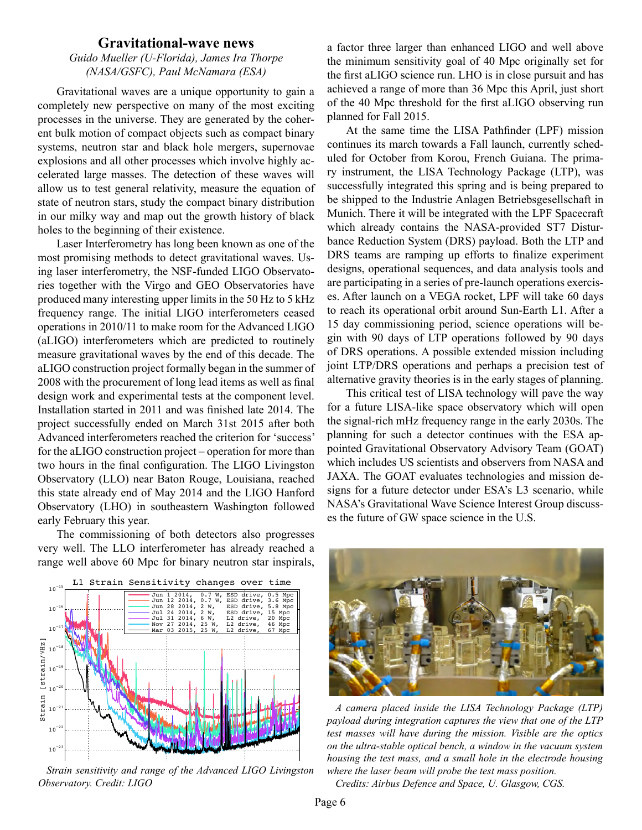#### **Gravitational-wave news**

## <span id="page-5-0"></span>*Guido Mueller (U-Florida), James Ira Thorpe (NASA/GSFC), Paul McNamara (ESA)*

Gravitational waves are a unique opportunity to gain a completely new perspective on many of the most exciting processes in the universe. They are generated by the coherent bulk motion of compact objects such as compact binary systems, neutron star and black hole mergers, supernovae explosions and all other processes which involve highly accelerated large masses. The detection of these waves will allow us to test general relativity, measure the equation of state of neutron stars, study the compact binary distribution in our milky way and map out the growth history of black holes to the beginning of their existence.

Laser Interferometry has long been known as one of the most promising methods to detect gravitational waves. Using laser interferometry, the NSF-funded LIGO Observatories together with the Virgo and GEO Observatories have produced many interesting upper limits in the 50 Hz to 5 kHz frequency range. The initial LIGO interferometers ceased operations in 2010/11 to make room for the Advanced LIGO (aLIGO) interferometers which are predicted to routinely measure gravitational waves by the end of this decade. The aLIGO construction project formally began in the summer of 2008 with the procurement of long lead items as well as final design work and experimental tests at the component level. Installation started in 2011 and was finished late 2014. The project successfully ended on March 31st 2015 after both Advanced interferometers reached the criterion for 'success' for the aLIGO construction project – operation for more than two hours in the final configuration. The LIGO Livingston Observatory (LLO) near Baton Rouge, Louisiana, reached this state already end of May 2014 and the LIGO Hanford Observatory (LHO) in southeastern Washington followed early February this year.

The commissioning of both detectors also progresses very well. The LLO interferometer has already reached a range well above 60 Mpc for binary neutron star inspirals,



*Strain sensitivity and range of the Advanced LIGO Livingston*  $\Gamma$ *Observatory. Credit: LIGO*

a factor three larger than enhanced LIGO and well above the minimum sensitivity goal of 40 Mpc originally set for the first aLIGO science run. LHO is in close pursuit and has achieved a range of more than 36 Mpc this April, just short of the 40 Mpc threshold for the first aLIGO observing run planned for Fall 2015.

At the same time the LISA Pathfinder (LPF) mission continues its march towards a Fall launch, currently scheduled for October from Korou, French Guiana. The primary instrument, the LISA Technology Package (LTP), was successfully integrated this spring and is being prepared to be shipped to the Industrie Anlagen Betriebsgesellschaft in Munich. There it will be integrated with the LPF Spacecraft which already contains the NASA-provided ST7 Disturbance Reduction System (DRS) payload. Both the LTP and DRS teams are ramping up efforts to finalize experiment designs, operational sequences, and data analysis tools and are participating in a series of pre-launch operations exercises. After launch on a VEGA rocket, LPF will take 60 days to reach its operational orbit around Sun-Earth L1. After a 15 day commissioning period, science operations will begin with 90 days of LTP operations followed by 90 days of DRS operations. A possible extended mission including joint LTP/DRS operations and perhaps a precision test of alternative gravity theories is in the early stages of planning.

This critical test of LISA technology will pave the way for a future LISA-like space observatory which will open the signal-rich mHz frequency range in the early 2030s. The planning for such a detector continues with the ESA appointed Gravitational Observatory Advisory Team (GOAT) which includes US scientists and observers from NASA and JAXA. The GOAT evaluates technologies and mission designs for a future detector under ESA's L3 scenario, while NASA's Gravitational Wave Science Interest Group discusses the future of GW space science in the U.S.



*A camera placed inside the LISA Technology Package (LTP) payload during integration captures the view that one of the LTP test masses will have during the mission. Visible are the optics on the ultra-stable optical bench, a window in the vacuum system housing the test mass, and a small hole in the electrode housing where the laser beam will probe the test mass position.* 

*Credits: Airbus Defence and Space, U. Glasgow, CGS.*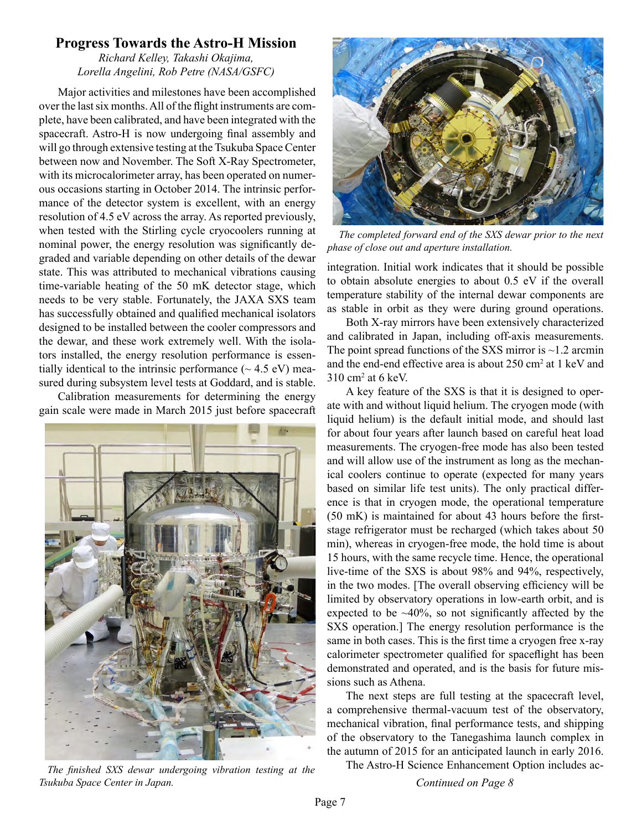# <span id="page-6-0"></span>**Progress Towards the Astro-H Mission**

*Richard Kelley, Takashi Okajima, Lorella Angelini, Rob Petre (NASA/GSFC)*

Major activities and milestones have been accomplished over the last six months. All of the flight instruments are complete, have been calibrated, and have been integrated with the spacecraft. Astro-H is now undergoing final assembly and will go through extensive testing at the Tsukuba Space Center between now and November. The Soft X-Ray Spectrometer, with its microcalorimeter array, has been operated on numerous occasions starting in October 2014. The intrinsic performance of the detector system is excellent, with an energy resolution of 4.5 eV across the array. As reported previously, when tested with the Stirling cycle cryocoolers running at nominal power, the energy resolution was significantly degraded and variable depending on other details of the dewar state. This was attributed to mechanical vibrations causing time-variable heating of the 50 mK detector stage, which needs to be very stable. Fortunately, the JAXA SXS team has successfully obtained and qualified mechanical isolators designed to be installed between the cooler compressors and the dewar, and these work extremely well. With the isolators installed, the energy resolution performance is essentially identical to the intrinsic performance  $({\sim} 4.5 \text{ eV})$  measured during subsystem level tests at Goddard, and is stable.

Calibration measurements for determining the energy gain scale were made in March 2015 just before spacecraft



*The finished SXS dewar undergoing vibration testing at the Tsukuba Space Center in Japan. Continued on Page 8*



 *The completed forward end of the SXS dewar prior to the next phase of close out and aperture installation.*

integration. Initial work indicates that it should be possible to obtain absolute energies to about 0.5 eV if the overall temperature stability of the internal dewar components are as stable in orbit as they were during ground operations.

Both X-ray mirrors have been extensively characterized and calibrated in Japan, including off-axis measurements. The point spread functions of the SXS mirror is  $\sim$ 1.2 arcmin and the end-end effective area is about 250 cm<sup>2</sup> at 1 keV and 310 cm2 at 6 keV.

A key feature of the SXS is that it is designed to operate with and without liquid helium. The cryogen mode (with liquid helium) is the default initial mode, and should last for about four years after launch based on careful heat load measurements. The cryogen-free mode has also been tested and will allow use of the instrument as long as the mechanical coolers continue to operate (expected for many years based on similar life test units). The only practical difference is that in cryogen mode, the operational temperature (50 mK) is maintained for about 43 hours before the firststage refrigerator must be recharged (which takes about 50 min), whereas in cryogen-free mode, the hold time is about 15 hours, with the same recycle time. Hence, the operational live-time of the SXS is about 98% and 94%, respectively, in the two modes. [The overall observing efficiency will be limited by observatory operations in low-earth orbit, and is expected to be  $\sim$ 40%, so not significantly affected by the SXS operation.] The energy resolution performance is the same in both cases. This is the first time a cryogen free x-ray calorimeter spectrometer qualified for spaceflight has been demonstrated and operated, and is the basis for future missions such as Athena.

The next steps are full testing at the spacecraft level, a comprehensive thermal-vacuum test of the observatory, mechanical vibration, final performance tests, and shipping of the observatory to the Tanegashima launch complex in the autumn of 2015 for an anticipated launch in early 2016.

The Astro-H Science Enhancement Option includes ac-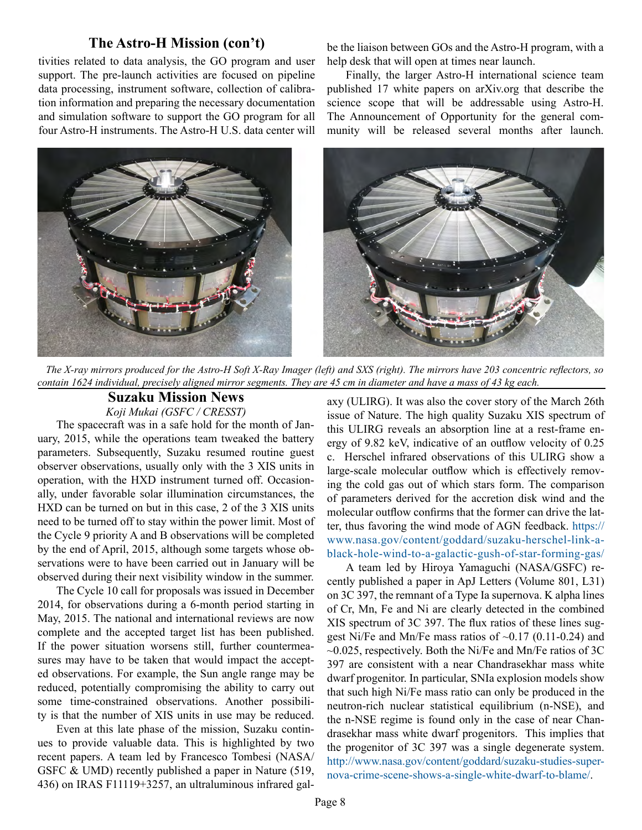## **The Astro-H Mission (con't)**

<span id="page-7-0"></span>tivities related to data analysis, the GO program and user support. The pre-launch activities are focused on pipeline data processing, instrument software, collection of calibration information and preparing the necessary documentation and simulation software to support the GO program for all four Astro-H instruments. The Astro-H U.S. data center will be the liaison between GOs and the Astro-H program, with a help desk that will open at times near launch.

Finally, the larger Astro-H international science team published 17 white papers on arXiv.org that describe the science scope that will be addressable using Astro-H. The Announcement of Opportunity for the general community will be released several months after launch.



*The X-ray mirrors produced for the Astro-H Soft X-Ray Imager (left) and SXS (right). The mirrors have 203 concentric reflectors, so contain 1624 individual, precisely aligned mirror segments. They are 45 cm in diameter and have a mass of 43 kg each.*

# **Suzaku Mission News**

*Koji Mukai (GSFC / CRESST)*

The spacecraft was in a safe hold for the month of January, 2015, while the operations team tweaked the battery parameters. Subsequently, Suzaku resumed routine guest observer observations, usually only with the 3 XIS units in operation, with the HXD instrument turned off. Occasionally, under favorable solar illumination circumstances, the HXD can be turned on but in this case, 2 of the 3 XIS units need to be turned off to stay within the power limit. Most of the Cycle 9 priority A and B observations will be completed by the end of April, 2015, although some targets whose observations were to have been carried out in January will be observed during their next visibility window in the summer.

The Cycle 10 call for proposals was issued in December 2014, for observations during a 6-month period starting in May, 2015. The national and international reviews are now complete and the accepted target list has been published. If the power situation worsens still, further countermeasures may have to be taken that would impact the accepted observations. For example, the Sun angle range may be reduced, potentially compromising the ability to carry out some time-constrained observations. Another possibility is that the number of XIS units in use may be reduced.

Even at this late phase of the mission, Suzaku continues to provide valuable data. This is highlighted by two recent papers. A team led by Francesco Tombesi (NASA/ GSFC & UMD) recently published a paper in Nature (519, 436) on IRAS F11119+3257, an ultraluminous infrared galaxy (ULIRG). It was also the cover story of the March 26th issue of Nature. The high quality Suzaku XIS spectrum of this ULIRG reveals an absorption line at a rest-frame energy of 9.82 keV, indicative of an outflow velocity of 0.25 c. Herschel infrared observations of this ULIRG show a large-scale molecular outflow which is effectively removing the cold gas out of which stars form. The comparison of parameters derived for the accretion disk wind and the molecular outflow confirms that the former can drive the latter, thus favoring the wind mode of AGN feedback. [https://](https://www.nasa.gov/content/goddard/suzaku-herschel-link-a-black-hole-wind-to-a-galactic-gush-of-star-forming-gas/%20) [www.nasa.gov/content/goddard/suzaku-herschel-link-a](https://www.nasa.gov/content/goddard/suzaku-herschel-link-a-black-hole-wind-to-a-galactic-gush-of-star-forming-gas/%20)[black-hole-wind-to-a-galactic-gush-of-star-forming-gas/](https://www.nasa.gov/content/goddard/suzaku-herschel-link-a-black-hole-wind-to-a-galactic-gush-of-star-forming-gas/%20)

A team led by Hiroya Yamaguchi (NASA/GSFC) recently published a paper in ApJ Letters (Volume 801, L31) on 3C 397, the remnant of a Type Ia supernova. K alpha lines of Cr, Mn, Fe and Ni are clearly detected in the combined XIS spectrum of 3C 397. The flux ratios of these lines suggest Ni/Fe and Mn/Fe mass ratios of ~0.17 (0.11-0.24) and  $\sim$ 0.025, respectively. Both the Ni/Fe and Mn/Fe ratios of 3C 397 are consistent with a near Chandrasekhar mass white dwarf progenitor. In particular, SNIa explosion models show that such high Ni/Fe mass ratio can only be produced in the neutron-rich nuclear statistical equilibrium (n-NSE), and the n-NSE regime is found only in the case of near Chandrasekhar mass white dwarf progenitors. This implies that the progenitor of 3C 397 was a single degenerate system. [http://www.nasa.gov/content/goddard/suzaku-studies-super](http://www.nasa.gov/content/goddard/suzaku-studies-supernova-crime-scene-shows-a-single-white-dwarf-to-blame/)[nova-crime-scene-shows-a-single-white-dwarf-to-blame/](http://www.nasa.gov/content/goddard/suzaku-studies-supernova-crime-scene-shows-a-single-white-dwarf-to-blame/).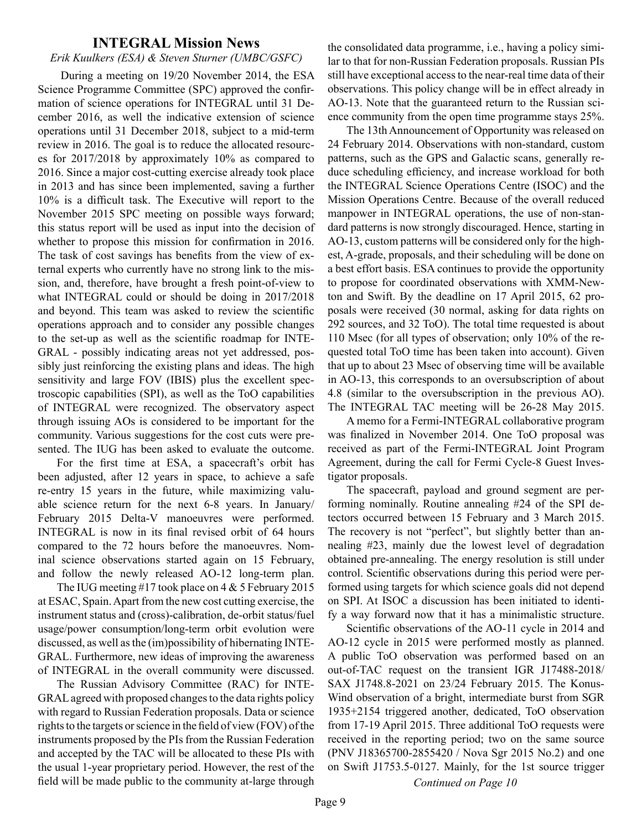#### **INTEGRAL Mission News**

#### <span id="page-8-0"></span>*Erik Kuulkers (ESA) & Steven Sturner (UMBC/GSFC)*

 During a meeting on 19/20 November 2014, the ESA Science Programme Committee (SPC) approved the confirmation of science operations for INTEGRAL until 31 December 2016, as well the indicative extension of science operations until 31 December 2018, subject to a mid-term review in 2016. The goal is to reduce the allocated resources for 2017/2018 by approximately 10% as compared to 2016. Since a major cost-cutting exercise already took place in 2013 and has since been implemented, saving a further 10% is a difficult task. The Executive will report to the November 2015 SPC meeting on possible ways forward; this status report will be used as input into the decision of whether to propose this mission for confirmation in 2016. The task of cost savings has benefits from the view of external experts who currently have no strong link to the mission, and, therefore, have brought a fresh point-of-view to what INTEGRAL could or should be doing in 2017/2018 and beyond. This team was asked to review the scientific operations approach and to consider any possible changes to the set-up as well as the scientific roadmap for INTE-GRAL - possibly indicating areas not yet addressed, possibly just reinforcing the existing plans and ideas. The high sensitivity and large FOV (IBIS) plus the excellent spectroscopic capabilities (SPI), as well as the ToO capabilities of INTEGRAL were recognized. The observatory aspect through issuing AOs is considered to be important for the community. Various suggestions for the cost cuts were presented. The IUG has been asked to evaluate the outcome.

For the first time at ESA, a spacecraft's orbit has been adjusted, after 12 years in space, to achieve a safe re-entry 15 years in the future, while maximizing valuable science return for the next 6-8 years. In January/ February 2015 Delta-V manoeuvres were performed. INTEGRAL is now in its final revised orbit of 64 hours compared to the 72 hours before the manoeuvres. Nominal science observations started again on 15 February, and follow the newly released AO-12 long-term plan.

The IUG meeting #17 took place on 4 & 5 February 2015 at ESAC, Spain. Apart from the new cost cutting exercise, the instrument status and (cross)-calibration, de-orbit status/fuel usage/power consumption/long-term orbit evolution were discussed, as well as the (im)possibility of hibernating INTE-GRAL. Furthermore, new ideas of improving the awareness of INTEGRAL in the overall community were discussed.

The Russian Advisory Committee (RAC) for INTE-GRAL agreed with proposed changes to the data rights policy with regard to Russian Federation proposals. Data or science rights to the targets or science in the field of view (FOV) of the instruments proposed by the PIs from the Russian Federation and accepted by the TAC will be allocated to these PIs with the usual 1-year proprietary period. However, the rest of the field will be made public to the community at-large through the consolidated data programme, i.e., having a policy similar to that for non-Russian Federation proposals. Russian PIs still have exceptional access to the near-real time data of their observations. This policy change will be in effect already in AO-13. Note that the guaranteed return to the Russian science community from the open time programme stays 25%.

The 13th Announcement of Opportunity was released on 24 February 2014. Observations with non-standard, custom patterns, such as the GPS and Galactic scans, generally reduce scheduling efficiency, and increase workload for both the INTEGRAL Science Operations Centre (ISOC) and the Mission Operations Centre. Because of the overall reduced manpower in INTEGRAL operations, the use of non-standard patterns is now strongly discouraged. Hence, starting in AO-13, custom patterns will be considered only for the highest, A-grade, proposals, and their scheduling will be done on a best effort basis. ESA continues to provide the opportunity to propose for coordinated observations with XMM-Newton and Swift. By the deadline on 17 April 2015, 62 proposals were received (30 normal, asking for data rights on 292 sources, and 32 ToO). The total time requested is about 110 Msec (for all types of observation; only 10% of the requested total ToO time has been taken into account). Given that up to about 23 Msec of observing time will be available in AO-13, this corresponds to an oversubscription of about 4.8 (similar to the oversubscription in the previous AO). The INTEGRAL TAC meeting will be 26-28 May 2015.

A memo for a Fermi-INTEGRAL collaborative program was finalized in November 2014. One ToO proposal was received as part of the Fermi-INTEGRAL Joint Program Agreement, during the call for Fermi Cycle-8 Guest Investigator proposals.

The spacecraft, payload and ground segment are performing nominally. Routine annealing #24 of the SPI detectors occurred between 15 February and 3 March 2015. The recovery is not "perfect", but slightly better than annealing #23, mainly due the lowest level of degradation obtained pre-annealing. The energy resolution is still under control. Scientific observations during this period were performed using targets for which science goals did not depend on SPI. At ISOC a discussion has been initiated to identify a way forward now that it has a minimalistic structure.

Scientific observations of the AO-11 cycle in 2014 and AO-12 cycle in 2015 were performed mostly as planned. A public ToO observation was performed based on an out-of-TAC request on the transient IGR J17488-2018/ SAX J1748.8-2021 on 23/24 February 2015. The Konus-Wind observation of a bright, intermediate burst from SGR 1935+2154 triggered another, dedicated, ToO observation from 17-19 April 2015. Three additional ToO requests were received in the reporting period; two on the same source (PNV J18365700-2855420 / Nova Sgr 2015 No.2) and one on Swift J1753.5-0127. Mainly, for the 1st source trigger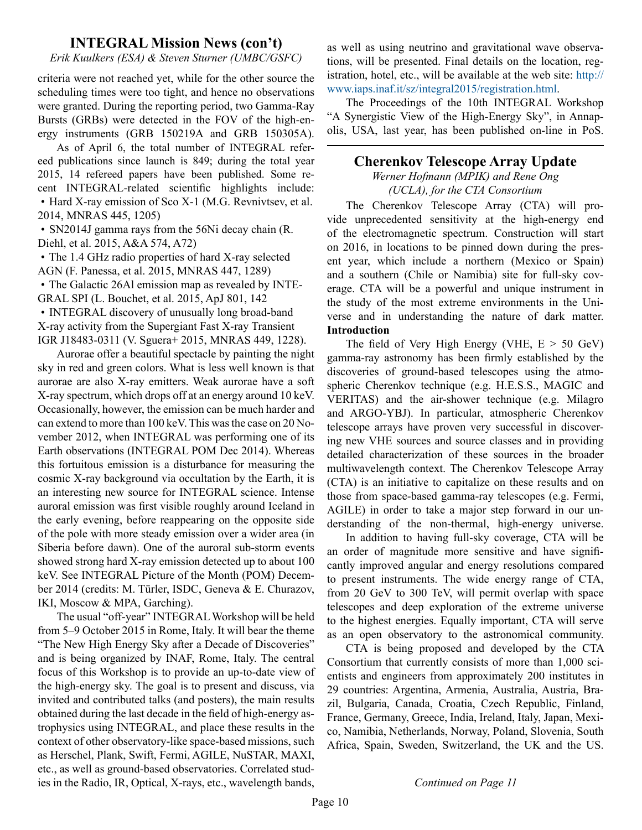# **INTEGRAL Mission News (con't)**

<span id="page-9-0"></span>*Erik Kuulkers (ESA) & Steven Sturner (UMBC/GSFC)*

criteria were not reached yet, while for the other source the scheduling times were too tight, and hence no observations were granted. During the reporting period, two Gamma-Ray Bursts (GRBs) were detected in the FOV of the high-energy instruments (GRB 150219A and GRB 150305A).

As of April 6, the total number of INTEGRAL refereed publications since launch is 849; during the total year 2015, 14 refereed papers have been published. Some recent INTEGRAL-related scientific highlights include: • Hard X-ray emission of Sco X-1 (M.G. Revnivtsev, et al. 2014, MNRAS 445, 1205)

• SN2014J gamma rays from the 56Ni decay chain (R. Diehl, et al. 2015, A&A 574, A72)

• The 1.4 GHz radio properties of hard X-ray selected AGN (F. Panessa, et al. 2015, MNRAS 447, 1289)

• The Galactic 26Al emission map as revealed by INTE-GRAL SPI (L. Bouchet, et al. 2015, ApJ 801, 142

• INTEGRAL discovery of unusually long broad-band X-ray activity from the Supergiant Fast X-ray Transient IGR J18483-0311 (V. Sguera+ 2015, MNRAS 449, 1228).

Aurorae offer a beautiful spectacle by painting the night sky in red and green colors. What is less well known is that aurorae are also X-ray emitters. Weak aurorae have a soft X-ray spectrum, which drops off at an energy around 10 keV. Occasionally, however, the emission can be much harder and can extend to more than 100 keV. This was the case on 20 November 2012, when INTEGRAL was performing one of its Earth observations (INTEGRAL POM Dec 2014). Whereas this fortuitous emission is a disturbance for measuring the cosmic X-ray background via occultation by the Earth, it is an interesting new source for INTEGRAL science. Intense auroral emission was first visible roughly around Iceland in the early evening, before reappearing on the opposite side of the pole with more steady emission over a wider area (in Siberia before dawn). One of the auroral sub-storm events showed strong hard X-ray emission detected up to about 100 keV. See INTEGRAL Picture of the Month (POM) December 2014 (credits: M. Türler, ISDC, Geneva & E. Churazov, IKI, Moscow & MPA, Garching).

The usual "off-year" INTEGRAL Workshop will be held from 5–9 October 2015 in Rome, Italy. It will bear the theme "The New High Energy Sky after a Decade of Discoveries" and is being organized by INAF, Rome, Italy. The central focus of this Workshop is to provide an up-to-date view of the high-energy sky. The goal is to present and discuss, via invited and contributed talks (and posters), the main results obtained during the last decade in the field of high-energy astrophysics using INTEGRAL, and place these results in the context of other observatory-like space-based missions, such as Herschel, Plank, Swift, Fermi, AGILE, NuSTAR, MAXI, etc., as well as ground-based observatories. Correlated studies in the Radio, IR, Optical, X-rays, etc., wavelength bands,

as well as using neutrino and gravitational wave observations, will be presented. Final details on the location, registration, hotel, etc., will be available at the web site: [http://](http://www.iaps.inaf.it/sz/integral2015/registration.html) [www.iaps.inaf.it/sz/integral2015/registration.html](http://www.iaps.inaf.it/sz/integral2015/registration.html).

The Proceedings of the 10th INTEGRAL Workshop "A Synergistic View of the High-Energy Sky", in Annapolis, USA, last year, has been published on-line in PoS.

# **Cherenkov Telescope Array Update**

*Werner Hofmann (MPIK) and Rene Ong (UCLA), for the CTA Consortium*

The Cherenkov Telescope Array (CTA) will provide unprecedented sensitivity at the high-energy end of the electromagnetic spectrum. Construction will start on 2016, in locations to be pinned down during the present year, which include a northern (Mexico or Spain) and a southern (Chile or Namibia) site for full-sky coverage. CTA will be a powerful and unique instrument in the study of the most extreme environments in the Universe and in understanding the nature of dark matter. **Introduction**

The field of Very High Energy (VHE,  $E > 50$  GeV) gamma-ray astronomy has been firmly established by the discoveries of ground-based telescopes using the atmospheric Cherenkov technique (e.g. H.E.S.S., MAGIC and VERITAS) and the air-shower technique (e.g. Milagro and ARGO-YBJ). In particular, atmospheric Cherenkov telescope arrays have proven very successful in discovering new VHE sources and source classes and in providing detailed characterization of these sources in the broader multiwavelength context. The Cherenkov Telescope Array (CTA) is an initiative to capitalize on these results and on those from space-based gamma-ray telescopes (e.g. Fermi, AGILE) in order to take a major step forward in our understanding of the non-thermal, high-energy universe.

In addition to having full-sky coverage, CTA will be an order of magnitude more sensitive and have significantly improved angular and energy resolutions compared to present instruments. The wide energy range of CTA, from 20 GeV to 300 TeV, will permit overlap with space telescopes and deep exploration of the extreme universe to the highest energies. Equally important, CTA will serve as an open observatory to the astronomical community.

CTA is being proposed and developed by the CTA Consortium that currently consists of more than 1,000 scientists and engineers from approximately 200 institutes in 29 countries: Argentina, Armenia, Australia, Austria, Brazil, Bulgaria, Canada, Croatia, Czech Republic, Finland, France, Germany, Greece, India, Ireland, Italy, Japan, Mexico, Namibia, Netherlands, Norway, Poland, Slovenia, South Africa, Spain, Sweden, Switzerland, the UK and the US.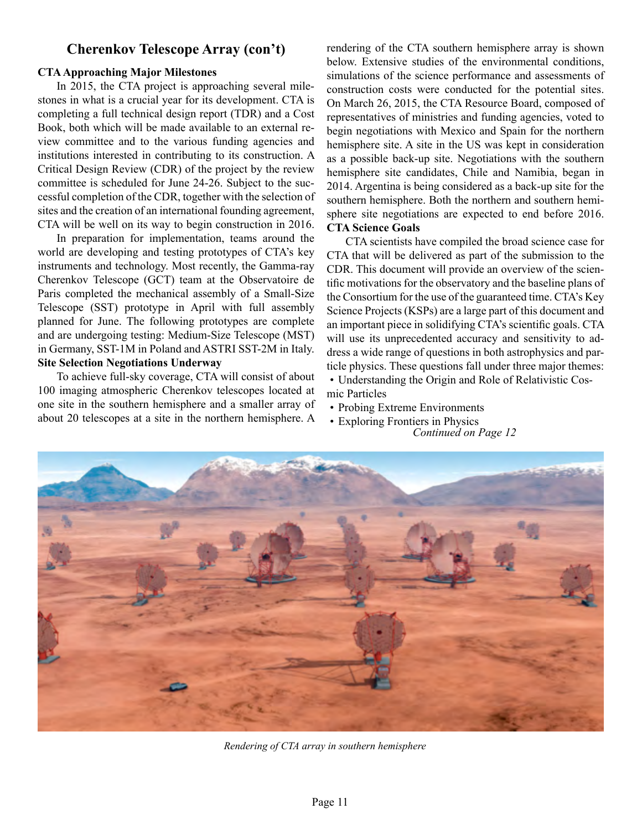#### **CTA Approaching Major Milestones**

In 2015, the CTA project is approaching several milestones in what is a crucial year for its development. CTA is completing a full technical design report (TDR) and a Cost Book, both which will be made available to an external review committee and to the various funding agencies and institutions interested in contributing to its construction. A Critical Design Review (CDR) of the project by the review committee is scheduled for June 24-26. Subject to the successful completion of the CDR, together with the selection of sites and the creation of an international founding agreement, CTA will be well on its way to begin construction in 2016.

In preparation for implementation, teams around the world are developing and testing prototypes of CTA's key instruments and technology. Most recently, the Gamma-ray Cherenkov Telescope (GCT) team at the Observatoire de Paris completed the mechanical assembly of a Small-Size Telescope (SST) prototype in April with full assembly planned for June. The following prototypes are complete and are undergoing testing: Medium-Size Telescope (MST) in Germany, SST-1M in Poland and ASTRI SST-2M in Italy. **Site Selection Negotiations Underway**

To achieve full-sky coverage, CTA will consist of about 100 imaging atmospheric Cherenkov telescopes located at one site in the southern hemisphere and a smaller array of about 20 telescopes at a site in the northern hemisphere. A

**Cherenkov Telescope Array (con't)** rendering of the CTA southern hemisphere array is shown below. Extensive studies of the environmental conditions, simulations of the science performance and assessments of construction costs were conducted for the potential sites. On March 26, 2015, the CTA Resource Board, composed of representatives of ministries and funding agencies, voted to begin negotiations with Mexico and Spain for the northern hemisphere site. A site in the US was kept in consideration as a possible back-up site. Negotiations with the southern hemisphere site candidates, Chile and Namibia, began in 2014. Argentina is being considered as a back-up site for the southern hemisphere. Both the northern and southern hemisphere site negotiations are expected to end before 2016. **CTA Science Goals** 

> CTA scientists have compiled the broad science case for CTA that will be delivered as part of the submission to the CDR. This document will provide an overview of the scientific motivations for the observatory and the baseline plans of the Consortium for the use of the guaranteed time. CTA's Key Science Projects (KSPs) are a large part of this document and an important piece in solidifying CTA's scientific goals. CTA will use its unprecedented accuracy and sensitivity to address a wide range of questions in both astrophysics and particle physics. These questions fall under three major themes: • Understanding the Origin and Role of Relativistic Cos-

- mic Particles
- Probing Extreme Environments
- Exploring Frontiers in Physics *Continued on Page 12*



*Rendering of CTA array in southern hemisphere*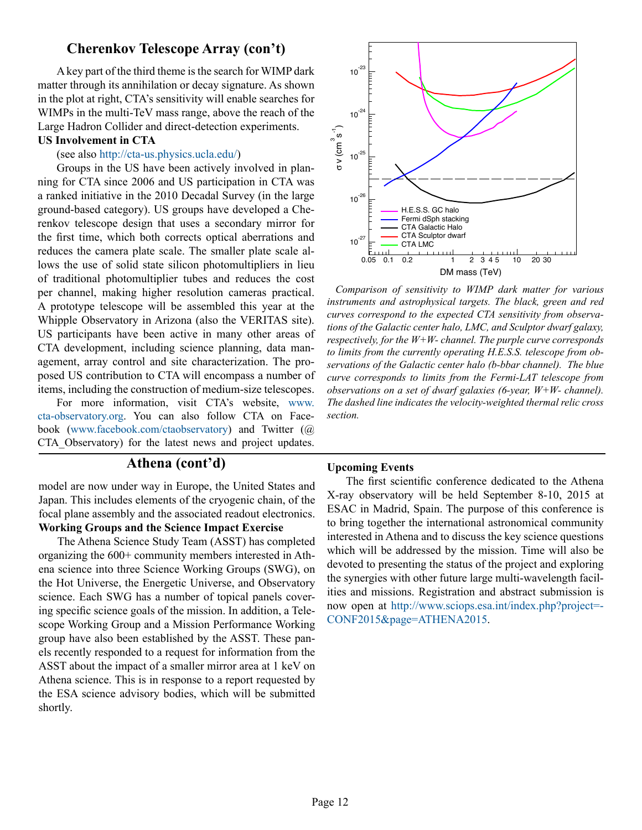# **Cherenkov Telescope Array (con't)**

A key part of the third theme is the search for WIMP dark matter through its annihilation or decay signature. As shown in the plot at right, CTA's sensitivity will enable searches for WIMPs in the multi-TeV mass range, above the reach of the Large Hadron Collider and direct-detection experiments. **US Involvement in CTA** 

#### (see also [http://cta-us.physics.ucla.edu/\)](http://cta-us.physics.ucla.edu/)

Groups in the US have been actively involved in planning for CTA since 2006 and US participation in CTA was a ranked initiative in the 2010 Decadal Survey (in the large ground-based category). US groups have developed a Cherenkov telescope design that uses a secondary mirror for the first time, which both corrects optical aberrations and reduces the camera plate scale. The smaller plate scale allows the use of solid state silicon photomultipliers in lieu of traditional photomultiplier tubes and reduces the cost per channel, making higher resolution cameras practical. A prototype telescope will be assembled this year at the Whipple Observatory in Arizona (also the VERITAS site). US participants have been active in many other areas of CTA development, including science planning, data management, array control and site characterization. The proposed US contribution to CTA will encompass a number of items, including the construction of medium-size telescopes.

For more information, visit CTA's website, [www.](http://www.cta-observatory.org) [cta-observatory.org.](http://www.cta-observatory.org) You can also follow CTA on Facebook [\(www.facebook.com/ctaobservatory](http://www.facebook.com/ctaobservatory)) and Twitter (@ CTA\_Observatory) for the latest news and project updates.

# **Athena (cont'd)**

model are now under way in Europe, the United States and Japan. This includes elements of the cryogenic chain, of the focal plane assembly and the associated readout electronics. **Working Groups and the Science Impact Exercise**

The Athena Science Study Team (ASST) has completed organizing the 600+ community members interested in Athena science into three Science Working Groups (SWG), on the Hot Universe, the Energetic Universe, and Observatory science. Each SWG has a number of topical panels covering specific science goals of the mission. In addition, a Telescope Working Group and a Mission Performance Working group have also been established by the ASST. These panels recently responded to a request for information from the ASST about the impact of a smaller mirror area at 1 keV on Athena science. This is in response to a report requested by the ESA science advisory bodies, which will be submitted shortly.



*Comparison of sensitivity to WIMP dark matter for various instruments and astrophysical targets. The black, green and red curves correspond to the expected CTA sensitivity from observations of the Galactic center halo, LMC, and Sculptor dwarf galaxy, respectively, for the W+W- channel. The purple curve corresponds to limits from the currently operating H.E.S.S. telescope from observations of the Galactic center halo (b-bbar channel). The blue curve corresponds to limits from the Fermi-LAT telescope from observations on a set of dwarf galaxies (6-year, W+W- channel). The dashed line indicates the velocity-weighted thermal relic cross section.*

#### **Upcoming Events**

The first scientific conference dedicated to the Athena X-ray observatory will be held September 8-10, 2015 at ESAC in Madrid, Spain. The purpose of this conference is to bring together the international astronomical community interested in Athena and to discuss the key science questions which will be addressed by the mission. Time will also be devoted to presenting the status of the project and exploring the synergies with other future large multi-wavelength facilities and missions. Registration and abstract submission is now open at [http://www.sciops.esa.int/index.php?project=-](http://www.sciops.esa.int/index.php%3Fproject%3DCONF2015%26page%3DATHENA2015) [CONF2015&page=ATHENA2015.](http://www.sciops.esa.int/index.php%3Fproject%3DCONF2015%26page%3DATHENA2015)